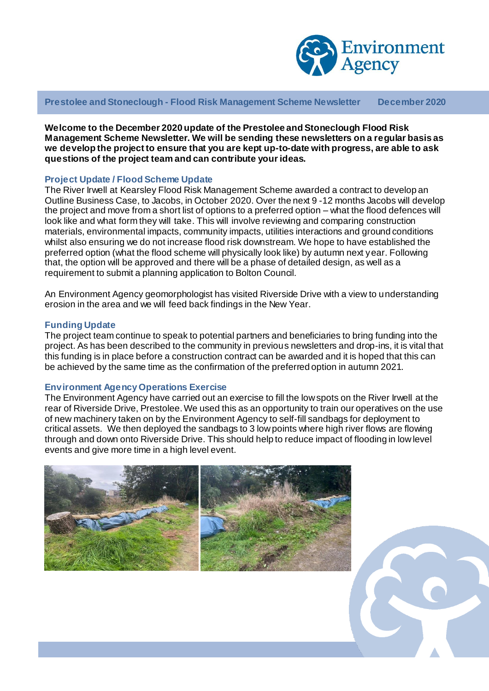

**Prestolee and Stoneclough - Flood Risk Management Scheme Newsletter December 2020**

**Welcome to the December 2020 update of the Prestolee and Stoneclough Flood Risk Management Scheme Newsletter. We will be sending these newsletters on a regular basis as we develop the project to ensure that you are kept up-to-date with progress, are able to ask questions of the project team and can contribute your ideas.**

# **Project Update / Flood Scheme Update**

The River Irwell at Kearsley Flood Risk Management Scheme awarded a contract to develop an Outline Business Case, to Jacobs, in October 2020. Over the next 9 -12 months Jacobs will develop the project and move from a short list of options to a preferred option – what the flood defences will look like and what form they will take. This will involve reviewing and comparing construction materials, environmental impacts, community impacts, utilities interactions and ground conditions whilst also ensuring we do not increase flood risk downstream. We hope to have established the preferred option (what the flood scheme will physically look like) by autumn next year. Following that, the option will be approved and there will be a phase of detailed design, as well as a requirement to submit a planning application to Bolton Council.

An Environment Agency geomorphologist has visited Riverside Drive with a view to understanding erosion in the area and we will feed back findings in the New Year.

#### **Funding Update**

The project team continue to speak to potential partners and beneficiaries to bring funding into the project. As has been described to the community in previous newsletters and drop-ins, it is vital that this funding is in place before a construction contract can be awarded and it is hoped that this can be achieved by the same time as the confirmation of the preferred option in autumn 2021.

#### **Environment Agency Operations Exercise**

The Environment Agency have carried out an exercise to fill the low spots on the River Irwell at the rear of Riverside Drive, Prestolee. We used this as an opportunity to train our operatives on the use of new machinery taken on by the Environment Agency to self-fill sandbags for deployment to critical assets. We then deployed the sandbags to 3 low points where high river flows are flowing through and down onto Riverside Drive. This should help to reduce impact of flooding in low level events and give more time in a high level event.